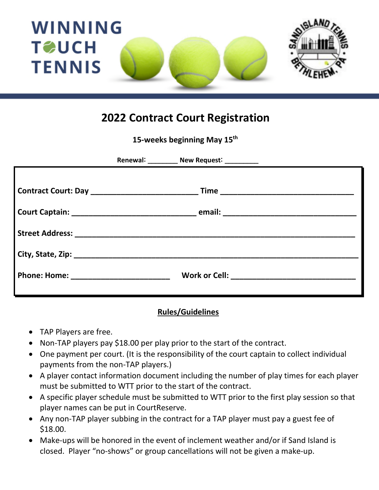

#### **2022 Contract Court Registration**

**15-weeks beginning May 15th**

| Phone: Home: _________________________ |  |
|----------------------------------------|--|
|                                        |  |

#### **Rules/Guidelines**

- TAP Players are free.
- Non-TAP players pay \$18.00 per play prior to the start of the contract.
- One payment per court. (It is the responsibility of the court captain to collect individual payments from the non-TAP players.)
- A player contact information document including the number of play times for each player must be submitted to WTT prior to the start of the contract.
- A specific player schedule must be submitted to WTT prior to the first play session so that player names can be put in CourtReserve.
- Any non-TAP player subbing in the contract for a TAP player must pay a guest fee of \$18.00.
- Make-ups will be honored in the event of inclement weather and/or if Sand Island is closed. Player "no-shows" or group cancellations will not be given a make-up.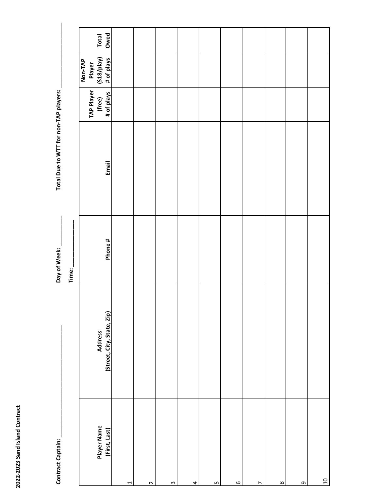| l |  |
|---|--|

|                                       |         | Total<br>Owed                                |   |        |                           |                         |    |         |                |          |          |       |
|---------------------------------------|---------|----------------------------------------------|---|--------|---------------------------|-------------------------|----|---------|----------------|----------|----------|-------|
|                                       |         | (knq/813)<br># of plays<br>Non-TAP<br>Player |   |        |                           |                         |    |         |                |          |          |       |
|                                       |         | <b>TAP Player</b><br># of plays<br>(free)    |   |        |                           |                         |    |         |                |          |          |       |
| Total Due to WTT for non-TAP players: |         | Email                                        |   |        |                           |                         |    |         |                |          |          |       |
| Day of Week:                          | Time: _ | Phone#                                       |   |        |                           |                         |    |         |                |          |          |       |
|                                       |         | (Street, City, State, Zip)<br><b>Address</b> |   |        |                           |                         |    |         |                |          |          |       |
| Contract Captain:                     |         | Player Name<br>(First, Last)                 | 1 | $\sim$ | $\boldsymbol{\mathsf{m}}$ | $\overline{\mathbf{r}}$ | LŊ | $\circ$ | $\overline{ }$ | $\infty$ | $\sigma$ | $\Xi$ |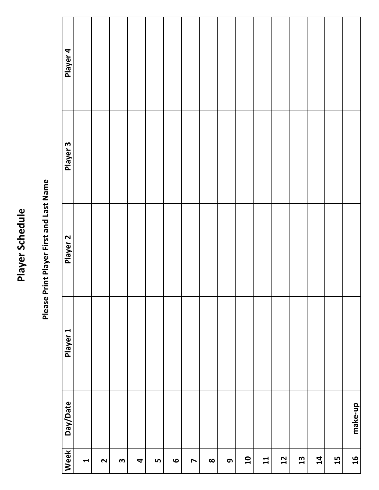# Player Schedule **Player Schedule**

# Please Print Player First and Last Name **Please Print Player First and Last Name**

| Week                      | Day/Date | Player 1 | Player <sub>2</sub> | Player <sub>3</sub> | Player 4 |
|---------------------------|----------|----------|---------------------|---------------------|----------|
| $\blacktriangleleft$      |          |          |                     |                     |          |
| $\mathbf{\Omega}$         |          |          |                     |                     |          |
| $\boldsymbol{\mathsf{m}}$ |          |          |                     |                     |          |
| $\blacktriangleleft$      |          |          |                     |                     |          |
| LŊ                        |          |          |                     |                     |          |
| $\bullet$                 |          |          |                     |                     |          |
| $\blacktriangleright$     |          |          |                     |                     |          |
| $\infty$                  |          |          |                     |                     |          |
| თ $\,$                    |          |          |                     |                     |          |
| $\overline{\mathbf{u}}$   |          |          |                     |                     |          |
| 11                        |          |          |                     |                     |          |
| $2 \overline{2}$          |          |          |                     |                     |          |
| $\mathbf{13}$             |          |          |                     |                     |          |
| $\mathbf{14}$             |          |          |                     |                     |          |
| 15                        |          |          |                     |                     |          |
| $\mathbf{d}$              | make-up  |          |                     |                     |          |